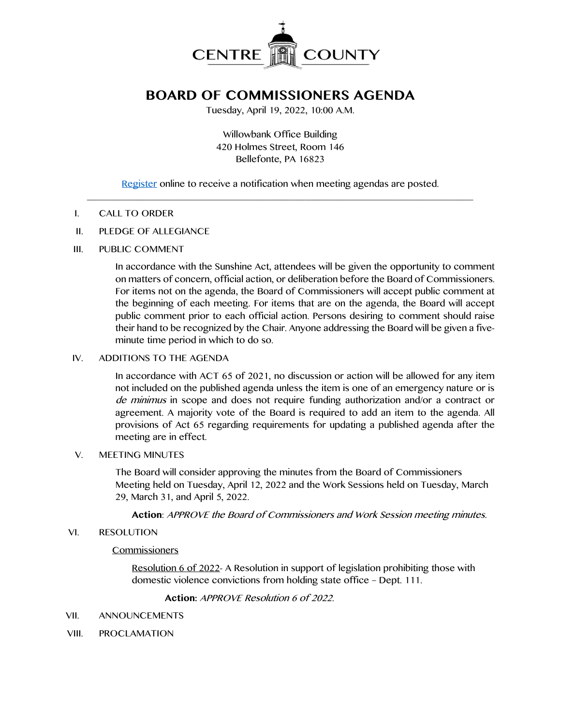

# **BOARD OF COMMISSIONERS AGENDA**

Tuesday, April 19, 2022, 10:00 A.M.

Willowbank Office Building 420 Holmes Street, Room 146 Bellefonte, PA 16823

[Register](http://www.centrecountypa.gov/AgendaCenter) online to receive a notification when meeting agendas are posted.  $\mathcal{L} = \{ \mathcal{L} = \{ \mathcal{L} \mid \mathcal{L} = \{ \mathcal{L} \mid \mathcal{L} = \{ \mathcal{L} \mid \mathcal{L} = \{ \mathcal{L} \mid \mathcal{L} = \{ \mathcal{L} \mid \mathcal{L} = \{ \mathcal{L} \mid \mathcal{L} = \{ \mathcal{L} \mid \mathcal{L} = \{ \mathcal{L} \mid \mathcal{L} = \{ \mathcal{L} \mid \mathcal{L} = \{ \mathcal{L} \mid \mathcal{L} = \{ \mathcal{L} \mid \mathcal{L} = \{ \mathcal{L} \mid \mathcal{L} =$ 

## I. CALL TO ORDER

## II. PLEDGE OF ALLEGIANCE

## III. PUBLIC COMMENT

In accordance with the Sunshine Act, attendees will be given the opportunity to comment on matters of concern, official action, or deliberation before the Board of Commissioners. For items not on the agenda, the Board of Commissioners will accept public comment at the beginning of each meeting. For items that are on the agenda, the Board will accept public comment prior to each official action. Persons desiring to comment should raise their hand to be recognized by the Chair. Anyone addressing the Board will be given a fiveminute time period in which to do so.

## IV. ADDITIONS TO THE AGENDA

In accordance with ACT 65 of 2021, no discussion or action will be allowed for any item not included on the published agenda unless the item is one of an emergency nature or is de minimus in scope and does not require funding authorization and/or a contract or agreement. A majority vote of the Board is required to add an item to the agenda. All provisions of Act 65 regarding requirements for updating a published agenda after the meeting are in effect.

#### V. MEETING MINUTES

The Board will consider approving the minutes from the Board of Commissioners Meeting held on Tuesday, April 12, 2022 and the Work Sessions held on Tuesday, March 29, March 31, and April 5, 2022.

**Action**: APPROVE the Board of Commissioners and Work Session meeting minutes.

#### VI. RESOLUTION

#### **Commissioners**

Resolution 6 of 2022- A Resolution in support of legislation prohibiting those with domestic violence convictions from holding state office – Dept. 111.

**Action:** APPROVE Resolution 6 of 2022.

#### VII. ANNOUNCEMENTS

VIII. PROCLAMATION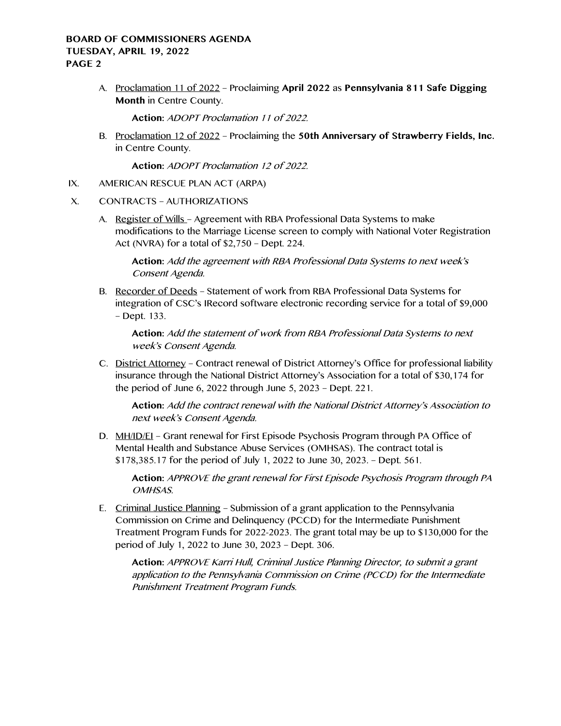# **BOARD OF COMMISSIONERS AGENDA TUESDAY, APRIL 19, 2022 PAGE 2**

A. Proclamation 11 of 2022 – Proclaiming **April 2022** as **Pennsylvania 811 Safe Digging Month** in Centre County.

**Action:** ADOPT Proclamation 11 of 2022.

B. Proclamation 12 of 2022 – Proclaiming the **50th Anniversary of Strawberry Fields, Inc.** in Centre County.

**Action:** ADOPT Proclamation 12 of 2022.

- IX. AMERICAN RESCUE PLAN ACT (ARPA)
- X. CONTRACTS AUTHORIZATIONS
	- A. Register of Wills Agreement with RBA Professional Data Systems to make modifications to the Marriage License screen to comply with National Voter Registration Act (NVRA) for a total of \$2,750 – Dept. 224.

**Action:** Add the agreement with RBA Professional Data Systems to next week's Consent Agenda.

B. Recorder of Deeds – Statement of work from RBA Professional Data Systems for integration of CSC's IRecord software electronic recording service for a total of \$9,000 – Dept. 133.

**Action:** Add the statement of work from RBA Professional Data Systems to next week's Consent Agenda.

C. District Attorney – Contract renewal of District Attorney's Office for professional liability insurance through the National District Attorney's Association for a total of \$30,174 for the period of June 6, 2022 through June 5, 2023 – Dept. 221.

**Action:** Add the contract renewal with the National District Attorney's Association to next week's Consent Agenda.

D. MH/ID/EI – Grant renewal for First Episode Psychosis Program through PA Office of Mental Health and Substance Abuse Services (OMHSAS). The contract total is \$178,385.17 for the period of July 1, 2022 to June 30, 2023. – Dept. 561.

**Action:** APPROVE the grant renewal for First Episode Psychosis Program through PA OMHSAS.

E. Criminal Justice Planning – Submission of a grant application to the Pennsylvania Commission on Crime and Delinquency (PCCD) for the Intermediate Punishment Treatment Program Funds for 2022-2023. The grant total may be up to \$130,000 for the period of July 1, 2022 to June 30, 2023 – Dept. 306.

**Action:** APPROVE Karri Hull, Criminal Justice Planning Director, to submit a grant application to the Pennsylvania Commission on Crime (PCCD) for the Intermediate Punishment Treatment Program Funds.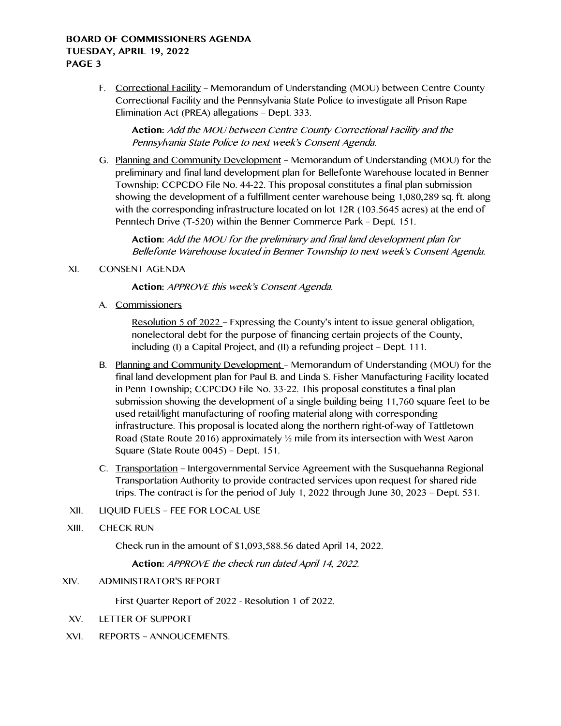## **BOARD OF COMMISSIONERS AGENDA TUESDAY, APRIL 19, 2022 PAGE 3**

F. Correctional Facility – Memorandum of Understanding (MOU) between Centre County Correctional Facility and the Pennsylvania State Police to investigate all Prison Rape Elimination Act (PREA) allegations – Dept. 333.

**Action:** Add the MOU between Centre County Correctional Facility and the Pennsylvania State Police to next week's Consent Agenda.

G. Planning and Community Development – Memorandum of Understanding (MOU) for the preliminary and final land development plan for Bellefonte Warehouse located in Benner Township; CCPCDO File No. 44-22. This proposal constitutes a final plan submission showing the development of a fulfillment center warehouse being 1,080,289 sq. ft. along with the corresponding infrastructure located on lot 12R (103.5645 acres) at the end of Penntech Drive (T-520) within the Benner Commerce Park – Dept. 151.

**Action:** Add the MOU for the preliminary and final land development plan for Bellefonte Warehouse located in Benner Township to next week's Consent Agenda.

## XI. CONSENT AGENDA

**Action:** APPROVE this week's Consent Agenda.

A. Commissioners

Resolution 5 of 2022 – Expressing the County's intent to issue general obligation, nonelectoral debt for the purpose of financing certain projects of the County, including (I) a Capital Project, and (II) a refunding project – Dept. 111.

- B. Planning and Community Development Memorandum of Understanding (MOU) for the final land development plan for Paul B. and Linda S. Fisher Manufacturing Facility located in Penn Township; CCPCDO File No. 33-22. This proposal constitutes a final plan submission showing the development of a single building being 11,760 square feet to be used retail/light manufacturing of roofing material along with corresponding infrastructure. This proposal is located along the northern right-of-way of Tattletown Road (State Route 2016) approximately ½ mile from its intersection with West Aaron Square (State Route 0045) – Dept. 151.
- C. Transportation Intergovernmental Service Agreement with the Susquehanna Regional Transportation Authority to provide contracted services upon request for shared ride trips. The contract is for the period of July 1, 2022 through June 30, 2023 – Dept. 531.
- XII. LIQUID FUELS FEE FOR LOCAL USE
- XIII. CHECK RUN

Check run in the amount of \$1,093,588.56 dated April 14, 2022.

**Action:** APPROVE the check run dated April 14, 2022.

#### XIV. ADMINISTRATOR'S REPORT

First Quarter Report of 2022 - Resolution 1 of 2022.

- XV. LETTER OF SUPPORT
- XVI. REPORTS ANNOUCEMENTS.